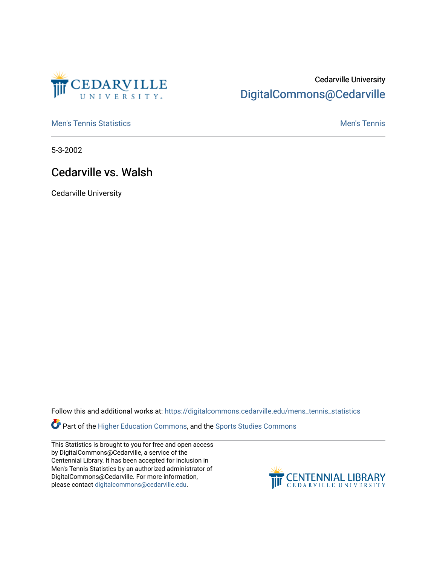

## Cedarville University [DigitalCommons@Cedarville](https://digitalcommons.cedarville.edu/)

**[Men's Tennis Statistics](https://digitalcommons.cedarville.edu/mens_tennis_statistics) Mental According to the Control of Control According Mental Men's Tennis** 

5-3-2002

## Cedarville vs. Walsh

Cedarville University

Follow this and additional works at: [https://digitalcommons.cedarville.edu/mens\\_tennis\\_statistics](https://digitalcommons.cedarville.edu/mens_tennis_statistics?utm_source=digitalcommons.cedarville.edu%2Fmens_tennis_statistics%2F517&utm_medium=PDF&utm_campaign=PDFCoverPages)

Part of the [Higher Education Commons,](http://network.bepress.com/hgg/discipline/1245?utm_source=digitalcommons.cedarville.edu%2Fmens_tennis_statistics%2F517&utm_medium=PDF&utm_campaign=PDFCoverPages) and the Sports Studies Commons

This Statistics is brought to you for free and open access by DigitalCommons@Cedarville, a service of the Centennial Library. It has been accepted for inclusion in Men's Tennis Statistics by an authorized administrator of DigitalCommons@Cedarville. For more information, please contact [digitalcommons@cedarville.edu](mailto:digitalcommons@cedarville.edu).